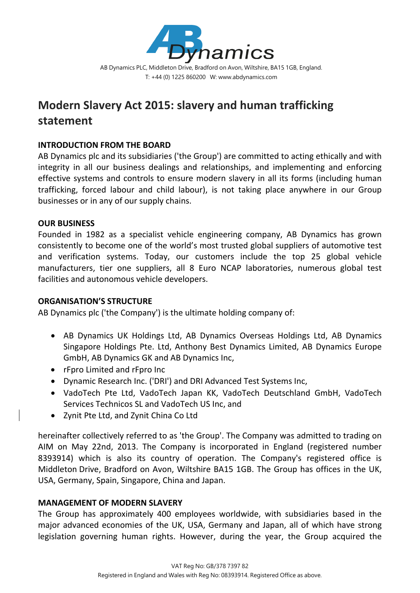

# **Modern Slavery Act 2015: slavery and human trafficking statement**

## **INTRODUCTION FROM THE BOARD**

AB Dynamics plc and its subsidiaries ('the Group') are committed to acting ethically and with integrity in all our business dealings and relationships, and implementing and enforcing effective systems and controls to ensure modern slavery in all its forms (including human trafficking, forced labour and child labour), is not taking place anywhere in our Group businesses or in any of our supply chains.

### **OUR BUSINESS**

Founded in 1982 as a specialist vehicle engineering company, AB Dynamics has grown consistently to become one of the world's most trusted global suppliers of automotive test and verification systems. Today, our customers include the top 25 global vehicle manufacturers, tier one suppliers, all 8 Euro NCAP laboratories, numerous global test facilities and autonomous vehicle developers.

## **ORGANISATION'S STRUCTURE**

AB Dynamics plc ('the Company') is the ultimate holding company of:

- AB Dynamics UK Holdings Ltd, AB Dynamics Overseas Holdings Ltd, AB Dynamics Singapore Holdings Pte. Ltd, Anthony Best Dynamics Limited, AB Dynamics Europe GmbH, AB Dynamics GK and AB Dynamics Inc,
- rFpro Limited and rFpro Inc
- Dynamic Research Inc. ('DRI') and DRI Advanced Test Systems Inc,
- VadoTech Pte Ltd, VadoTech Japan KK, VadoTech Deutschland GmbH, VadoTech Services Technicos SL and VadoTech US Inc, and
- Zynit Pte Ltd, and Zynit China Co Ltd

hereinafter collectively referred to as 'the Group'. The Company was admitted to trading on AIM on May 22nd, 2013. The Company is incorporated in England (registered number 8393914) which is also its country of operation. The Company's registered office is Middleton Drive, Bradford on Avon, Wiltshire BA15 1GB. The Group has offices in the UK, USA, Germany, Spain, Singapore, China and Japan.

#### **MANAGEMENT OF MODERN SLAVERY**

The Group has approximately 400 employees worldwide, with subsidiaries based in the major advanced economies of the UK, USA, Germany and Japan, all of which have strong legislation governing human rights. However, during the year, the Group acquired the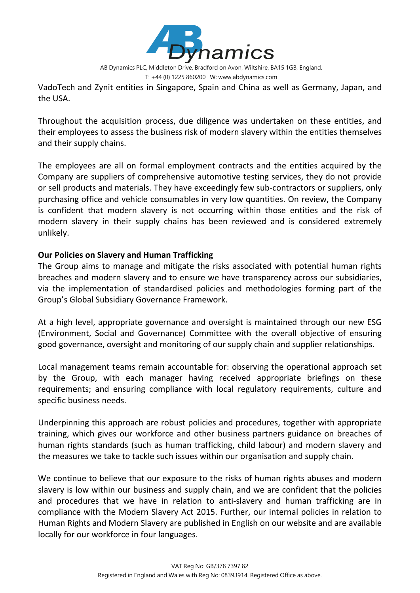

AB Dynamics PLC, Middleton Drive, Bradford on Avon, Wiltshire, BA15 1GB, England.

T: +44 (0) 1225 860200 W: www.abdynamics.com

VadoTech and Zynit entities in Singapore, Spain and China as well as Germany, Japan, and the USA.

Throughout the acquisition process, due diligence was undertaken on these entities, and their employees to assess the business risk of modern slavery within the entities themselves and their supply chains.

The employees are all on formal employment contracts and the entities acquired by the Company are suppliers of comprehensive automotive testing services, they do not provide or sell products and materials. They have exceedingly few sub‐contractors or suppliers, only purchasing office and vehicle consumables in very low quantities. On review, the Company is confident that modern slavery is not occurring within those entities and the risk of modern slavery in their supply chains has been reviewed and is considered extremely unlikely.

### **Our Policies on Slavery and Human Trafficking**

The Group aims to manage and mitigate the risks associated with potential human rights breaches and modern slavery and to ensure we have transparency across our subsidiaries, via the implementation of standardised policies and methodologies forming part of the Group's Global Subsidiary Governance Framework.

At a high level, appropriate governance and oversight is maintained through our new ESG (Environment, Social and Governance) Committee with the overall objective of ensuring good governance, oversight and monitoring of our supply chain and supplier relationships.

Local management teams remain accountable for: observing the operational approach set by the Group, with each manager having received appropriate briefings on these requirements; and ensuring compliance with local regulatory requirements, culture and specific business needs.

Underpinning this approach are robust policies and procedures, together with appropriate training, which gives our workforce and other business partners guidance on breaches of human rights standards (such as human trafficking, child labour) and modern slavery and the measures we take to tackle such issues within our organisation and supply chain.

We continue to believe that our exposure to the risks of human rights abuses and modern slavery is low within our business and supply chain, and we are confident that the policies and procedures that we have in relation to anti‐slavery and human trafficking are in compliance with the Modern Slavery Act 2015. Further, our internal policies in relation to Human Rights and Modern Slavery are published in English on our website and are available locally for our workforce in four languages.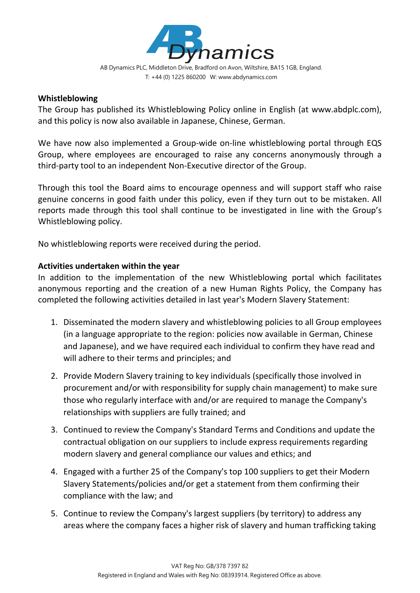

#### **Whistleblowing**

The Group has published its Whistleblowing Policy online in English (at www.abdplc.com), and this policy is now also available in Japanese, Chinese, German.

We have now also implemented a Group-wide on-line whistleblowing portal through EQS Group, where employees are encouraged to raise any concerns anonymously through a third‐party tool to an independent Non‐Executive director of the Group.

Through this tool the Board aims to encourage openness and will support staff who raise genuine concerns in good faith under this policy, even if they turn out to be mistaken. All reports made through this tool shall continue to be investigated in line with the Group's Whistleblowing policy.

No whistleblowing reports were received during the period.

### **Activities undertaken within the year**

In addition to the implementation of the new Whistleblowing portal which facilitates anonymous reporting and the creation of a new Human Rights Policy, the Company has completed the following activities detailed in last year's Modern Slavery Statement:

- 1. Disseminated the modern slavery and whistleblowing policies to all Group employees (in a language appropriate to the region: policies now available in German, Chinese and Japanese), and we have required each individual to confirm they have read and will adhere to their terms and principles; and
- 2. Provide Modern Slavery training to key individuals (specifically those involved in procurement and/or with responsibility for supply chain management) to make sure those who regularly interface with and/or are required to manage the Company's relationships with suppliers are fully trained; and
- 3. Continued to review the Company's Standard Terms and Conditions and update the contractual obligation on our suppliers to include express requirements regarding modern slavery and general compliance our values and ethics; and
- 4. Engaged with a further 25 of the Company's top 100 suppliers to get their Modern Slavery Statements/policies and/or get a statement from them confirming their compliance with the law; and
- 5. Continue to review the Company's largest suppliers (by territory) to address any areas where the company faces a higher risk of slavery and human trafficking taking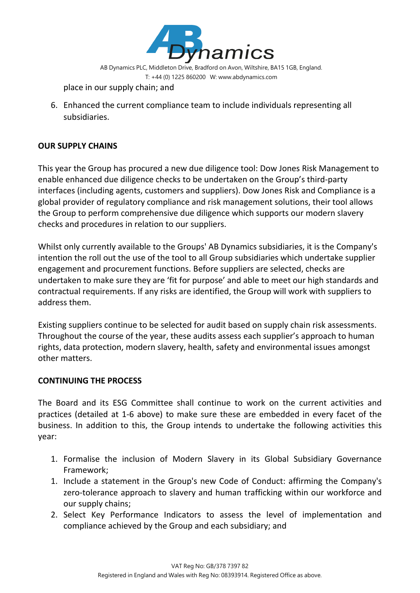

place in our supply chain; and

6. Enhanced the current compliance team to include individuals representing all subsidiaries.

# **OUR SUPPLY CHAINS**

This year the Group has procured a new due diligence tool: Dow Jones Risk Management to enable enhanced due diligence checks to be undertaken on the Group's third‐party interfaces (including agents, customers and suppliers). Dow Jones Risk and Compliance is a global provider of regulatory compliance and risk management solutions, their tool allows the Group to perform comprehensive due diligence which supports our modern slavery checks and procedures in relation to our suppliers.

Whilst only currently available to the Groups' AB Dynamics subsidiaries, it is the Company's intention the roll out the use of the tool to all Group subsidiaries which undertake supplier engagement and procurement functions. Before suppliers are selected, checks are undertaken to make sure they are 'fit for purpose' and able to meet our high standards and contractual requirements. If any risks are identified, the Group will work with suppliers to address them.

Existing suppliers continue to be selected for audit based on supply chain risk assessments. Throughout the course of the year, these audits assess each supplier's approach to human rights, data protection, modern slavery, health, safety and environmental issues amongst other matters.

## **CONTINUING THE PROCESS**

The Board and its ESG Committee shall continue to work on the current activities and practices (detailed at 1‐6 above) to make sure these are embedded in every facet of the business. In addition to this, the Group intends to undertake the following activities this year:

- 1. Formalise the inclusion of Modern Slavery in its Global Subsidiary Governance Framework;
- 1. Include a statement in the Group's new Code of Conduct: affirming the Company's zero-tolerance approach to slavery and human trafficking within our workforce and our supply chains;
- 2. Select Key Performance Indicators to assess the level of implementation and compliance achieved by the Group and each subsidiary; and